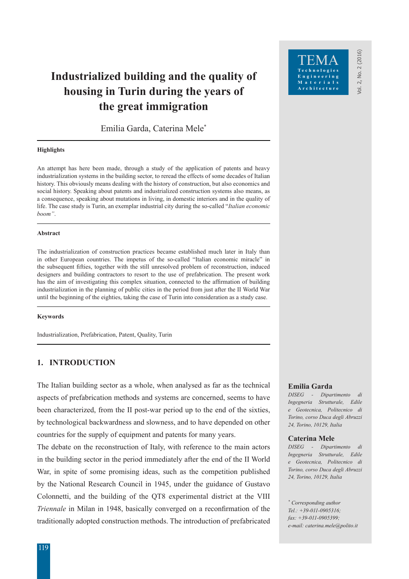# **Industrialized building and the quality of housing in Turin during the years of the great immigration**

Emilia Garda, Caterina Mele\*

### **Highlights**

An attempt has here been made, through a study of the application of patents and heavy industrialization systems in the building sector, to reread the effects of some decades of Italian history. This obviously means dealing with the history of construction, but also economics and social history. Speaking about patents and industrialized construction systems also means, as a consequence, speaking about mutations in living, in domestic interiors and in the quality of life. The case study is Turin, an exemplar industrial city during the so-called "*Italian economic boom"*.

### **Abstract**

The industrialization of construction practices became established much later in Italy than in other European countries. The impetus of the so-called "Italian economic miracle" in the subsequent fifties, together with the still unresolved problem of reconstruction, induced designers and building contractors to resort to the use of prefabrication. The present work has the aim of investigating this complex situation, connected to the affirmation of building industrialization in the planning of public cities in the period from just after the II World War until the beginning of the eighties, taking the case of Turin into consideration as a study case.

### **Keywords**

Industrialization, Prefabrication, Patent, Quality, Turin

# **1. INTRODUCTION**

The Italian building sector as a whole, when analysed as far as the technical aspects of prefabrication methods and systems are concerned, seems to have been characterized, from the II post-war period up to the end of the sixties, by technological backwardness and slowness, and to have depended on other countries for the supply of equipment and patents for many years.

The debate on the reconstruction of Italy, with reference to the main actors in the building sector in the period immediately after the end of the II World War, in spite of some promising ideas, such as the competition published by the National Research Council in 1945, under the guidance of Gustavo Colonnetti, and the building of the QT8 experimental district at the VIII *Triennale* in Milan in 1948, basically converged on a reconfirmation of the traditionally adopted construction methods. The introduction of prefabricated

### **Emilia Garda**

*DISEG - Dipartimento di Ingegneria Strutturale, Edile e Geotecnica, Politecnico di Torino, corso Duca degli Abruzzi 24, Torino, 10129, Italia*

/ol. 2, No. 2 (2016) Vol. 2, No. 2 (2016)

Engineering Materials Architecture

### **Caterina Mele**

*DISEG - Dipartimento di Ingegneria Strutturale, Edile e Geotecnica, Politecnico di Torino, corso Duca degli Abruzzi 24, Torino, 10129, Italia*

*\* Corresponding author Tel.: +39-011-0905316; fax: +39-011-0905399; e-mail: caterina.mele@polito.it*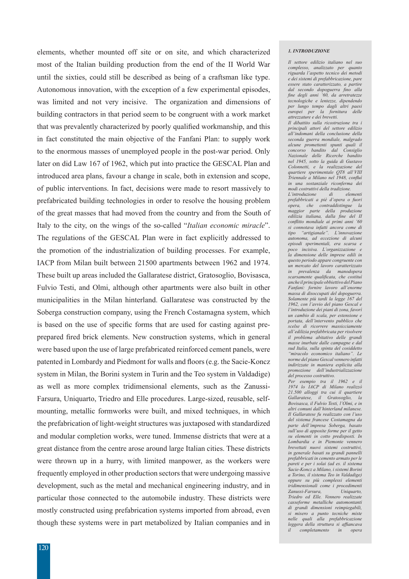elements, whether mounted off site or on site, and which characterized most of the Italian building production from the end of the II World War until the sixties, could still be described as being of a craftsman like type. Autonomous innovation, with the exception of a few experimental episodes, was limited and not very incisive. The organization and dimensions of building contractors in that period seem to be congruent with a work market that was prevalently characterized by poorly qualified workmanship, and this in fact constituted the main objective of the Fanfani Plan: to supply work to the enormous masses of unemployed people in the post-war period. Only later on did Law 167 of 1962, which put into practice the GESCAL Plan and introduced area plans, favour a change in scale, both in extension and scope, of public interventions. In fact, decisions were made to resort massively to prefabricated building technologies in order to resolve the housing problem of the great masses that had moved from the country and from the South of Italy to the city, on the wings of the so-called "*Italian economic miracle*". The regulations of the GESCAL Plan were in fact explicitly addressed to the promotion of the industrialization of building processes. For example, IACP from Milan built between 21500 apartments between 1962 and 1974. These built up areas included the Gallaratese district, Gratosoglio, Bovisasca, Fulvio Testi, and Olmi, although other apartments were also built in other municipalities in the Milan hinterland. Gallaratese was constructed by the Soberga construction company, using the French Costamagna system, which is based on the use of specific forms that are used for casting against preprepared fired brick elements. New construction systems, which in general were based upon the use of large prefabricated reinforced cement panels, were patented in Lombardy and Piedmont for walls and floors (e.g. the Sacie-Koncz system in Milan, the Borini system in Turin and the Teo system in Valdadige) as well as more complex tridimensional elements, such as the Zanussi-Farsura, Uniquarto, Triedro and Elle procedures. Large-sized, reusable, selfmounting, metallic formworks were built, and mixed techniques, in which the prefabrication of light-weight structures was juxtaposed with standardized and modular completion works, were tuned. Immense districts that were at a great distance from the centre arose around large Italian cities. These districts were thrown up in a hurry, with limited manpower, as the workers were frequently employed in other production sectors that were undergoing massive development, such as the metal and mechanical engineering industry, and in particular those connected to the automobile industry. These districts were mostly constructed using prefabrication systems imported from abroad, even though these systems were in part metabolized by Italian companies and in

#### *1. INTRODUZIONE*

*Il settore edilizio italiano nel suo complesso, analizzato per quanto riguarda l'aspetto tecnico dei metodi e dei sistemi di prefabbricazione, pare essere stato caratterizzato, a partire dal secondo dopoguerra fino alla fine degli anni '60, da arretratezze tecnologiche e lentezze, dipendendo per lungo tempo dagli altri paesi europei per la fornitura delle attrezzature e dei brevetti.* 

*Il dibattito sulla ricostruzione tra i principali attori del settore edilizio all'indomani della conclusione della seconda guerra mondiale, malgrado alcune promettenti spunti quali il concorso bandito dal Consiglio Nazionale delle Ricerche bandito nel 1945, sotto la guida di Gustavo Colonnetti, e la realizzazione del quartiere sperimentale QT8 all'VIII Triennale a Milano nel 1948, confluì in una sostanziale riconferma dei modi costruttivi della tradizione.* 

*L'introduzione di elementi prefabbricati a piè d'opera o fuori opera, che contraddistingue la maggior parte della produzione edilizia italiana, dalla fine del II conflitto mondiale ai primi anni '60 si connotava infatti ancora come di tipo "artigianale". L'innovazione autonoma, ad eccezione di alcuni episodi sperimentali, era scarsa e poco incisiva. L'organizzazione e la dimensione delle imprese edili in questo periodo appare congruente con un mercato del lavoro caratterizzato in prevalenza da manodopera scarsamente qualificata, che costituì anche il principale obbiettivo del Piano Fanfani: fornire lavoro all'enorme massa di disoccupati del dopoguerra. Solamente più tardi la legge 167 del 1962, con l'avvio del piano Gescal e l'introduzione dei piani di zona, favorì un cambio di scala, per estensione e portata, dell'intervento pubblico che scelse di ricorrere massicciamente all'edilizia prefabbricata per risolvere il problema abitativo delle grandi masse inurbate dalle campagne e dal sud Italia, sulla spinta del cosiddetto "miracolo economico italiano". Le norme del piano Gescal vennero infatti indirizzate in maniera esplicita alla promozione dell'industrializzazione del processo costruttivo.* 

*Per esempio tra il 1962 e il 1974 lo IACP di Milano realizzò 21.500 alloggi tra cui il quartiere Gallaratese, il Gratosoglio, la Bovisasca, il Fulvio Testi, l'Olmi, e in altri comuni dall'hinterland milanese. Il Gallaratese fu realizzato con l'uso del sistema francese Costamagna da parte dell'impresa Soberga, basato sull'uso di apposite forme per il getto su elementi in cotto predisposti. In Lombardia e in Piemonte vennero brevettati nuovi sistemi costruttivi, in generale basati su grandi pannelli prefabbricati in cemento armato per le pareti e per i solai (ad es. il sistema Sacie-Koncz a Milano, i sistemi Borini a Torino, il sistema Teo in Valdadige) oppure su più complessi elementi tridimensionali come i procedimenti Zanussi-Farsura, Uniquarto, Triedro ed Elle. Vennero realizzate casseforme metalliche automontanti di grandi dimensioni reimpiegabili, si misero a punto tecniche miste nelle quali alla prefabbricazione leggera della struttura si affiancava il completamento in opera*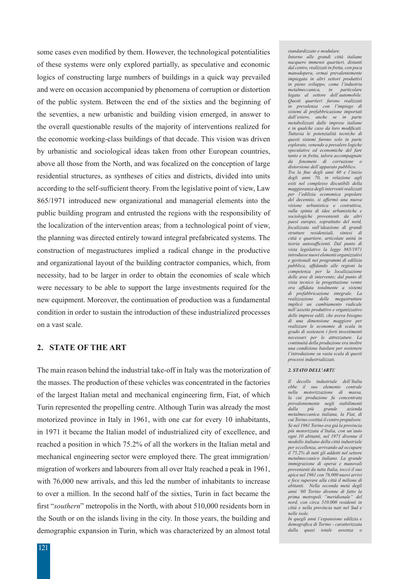some cases even modified by them. However, the technological potentialities of these systems were only explored partially, as speculative and economic logics of constructing large numbers of buildings in a quick way prevailed and were on occasion accompanied by phenomena of corruption or distortion of the public system. Between the end of the sixties and the beginning of the seventies, a new urbanistic and building vision emerged, in answer to the overall questionable results of the majority of interventions realized for the economic working-class buildings of that decade. This vision was driven by urbanistic and sociological ideas taken from other European countries, above all those from the North, and was focalized on the conception of large residential structures, as syntheses of cities and districts, divided into units according to the self-sufficient theory. From the legislative point of view, Law 865/1971 introduced new organizational and managerial elements into the public building program and entrusted the regions with the responsibility of the localization of the intervention areas; from a technological point of view, the planning was directed entirely toward integral prefabricated systems. The construction of megastructures implied a radical change in the productive and organizational layout of the building contractor companies, which, from necessity, had to be larger in order to obtain the economies of scale which were necessary to be able to support the large investments required for the new equipment. Moreover, the continuation of production was a fundamental condition in order to sustain the introduction of these industrialized processes on a vast scale.

### **2. STATE OF THE ART**

The main reason behind the industrial take-off in Italy was the motorization of the masses. The production of these vehicles was concentrated in the factories of the largest Italian metal and mechanical engineering firm, Fiat, of which Turin represented the propelling centre. Although Turin was already the most motorized province in Italy in 1961, with one car for every 10 inhabitants, in 1971 it became the Italian model of industrialized city of excellence, and reached a position in which 75.2% of all the workers in the Italian metal and mechanical engineering sector were employed there. The great immigration/ migration of workers and labourers from all over Italy reached a peak in 1961, with 76,000 new arrivals, and this led the number of inhabitants to increase to over a million. In the second half of the sixties, Turin in fact became the first "*southern*" metropolis in the North, with about 510,000 residents born in the South or on the islands living in the city. In those years, the building and demographic expansion in Turin, which was characterized by an almost total *standardizzato e modulare. Intorno alle grandi città italiane nacquero immensi quartieri, distanti dal centro, realizzati in fretta, con poca manodopera, ormai prevalentemente impiegata in altri settori produttivi in pieno sviluppo, come l'industria metalmeccanica, in particolare legata al settore dell'automobile. Questi quartieri furono realizzati in prevalenza con l'impiego di sistemi di prefabbricazione importati dall'estero, anche se in parte metabolizzati dalle imprese italiane e in qualche caso da loro modificati. Tuttavia le potenzialità tecniche di questi sistemi furono solo in parte esplorate, venendo a prevalere logiche speculative ed economiche del fare tanto e in fretta, talora accompagnate da fenomeni di corruzione o distorsione dell'apparato pubblico. Tra la fine degli anni 60 e l'inizio degli anni 70, in relazione agli esiti nel complesso discutibili della maggioranza degli interventi realizzati per l'edilizia economica popolare del decennio, si affermò una nuova visione urbanistica e costruttiva, sulla spinta di idee urbanistiche e sociologiche provenienti da altri paesi europei, soprattutto del nord, focalizzata sull'ideazione di grandi strutture residenziali, sintesi di città e quartiere, articolate unità in teoria autosufficienti. Dal punto di vista legislativo la legge 865/1971 introdusse nuovi elementi organizzativi e gestionali nei programmi di edilizia pubblica, affidando alle regioni la competenza per la localizzazione delle aree di intervento; dal punto di vista tecnico la progettazione venne* 

*ora affidata totalmente a sistemi di prefabbricazione integrale. La realizzazione delle megastrutture implicò un cambiamento radicale nell'assetto produttivo e organizzativo delle imprese edili, che aveva bisogno di una dimensione maggiore per realizzare le economie di scala in grado di sostenere i forti investimenti necessari per le attrezzature. La continuità della produzione era inoltre una condizione basilare per sostenere l'introduzione su vasta scala di questi processi industrializzati.* 

#### *2. STATO DELL'ARTE*

*Il decollo industriale dell'Italia ebbe il suo elemento centrale nella motorizzazione di massa, la cui produzione fu concentrata prevalentemente negli stabilimenti dalla più grande azienda metalmeccanica italiana, la Fiat, di cui Torino costituì il centro propulsore. Se nel 1961 Torino era già la provincia più motorizzata d'Italia, con un'auto ogni 10 abitanti, nel 1971 divenne il modello italiano della città industriale per eccellenza, arrivando ad occupare il 75,2% di tutti gli addetti nel settore metalmeccanico italiano. La grande immigrazione di operai e manovali provenienti da tutta Italia, toccò il suo apice nel 1961 con 76.000 nuovi arrivi e fece superare alla città il milione di abitanti. Nella seconda metà degli anni '60 Torino divenne di fatto la prima metropoli "meridionale" del nord, con circa 510.000 residenti in città e nella provincia nati nel Sud e nelle isole.*

*In quegli anni l'espansione edilizia e demografica di Torino - caratterizzata dalla quasi totale assenza o*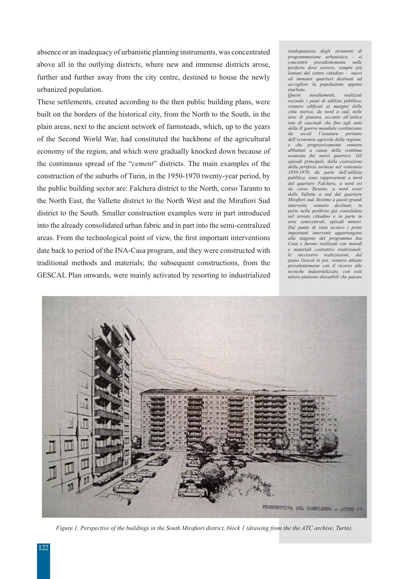absence or an inadequacy of urbanistic planning instruments, was concentrated above all in the outlying districts, where new and immense districts arose, further and further away from the city centre, destined to house the newly urbanized population.

These settlements, created according to the then public building plans, were built on the borders of the historical city, from the North to the South, in the plain areas, next to the ancient network of farmsteads, which, up to the years of the Second World War, had constituted the backbone of the agricultural economy of the region, and which were gradually knocked down because of the continuous spread of the "*cement*" districts. The main examples of the construction of the suburbs of Turin, in the 1950-1970 twenty-year period, by the public building sector are: Falchera district to the North, corso Taranto to the North East, the Vallette district to the North West and the Mirafiori Sud district to the South. Smaller construction examples were in part introduced into the already consolidated urban fabric and in part into the semi-centralized areas. From the technological point of view, the first important interventions date back to period of the INA-Casa program, and they were constructed with traditional methods and materials; the subsequent constructions, from the GESCAL Plan onwards, were mainly activated by resorting to industrialized *inadeguatezza degli strumenti di programmazione urbanistica - si*   $\emph{concentrò}$  prevalentemente *periferie dove sorsero, sempre più lontani dal centro cittadino ed immensi quartieri destinati ad accogliere la popolazione appena inurbata.*

*Questi insediamenti, realizzati secondo i piani di edilizia pubblica, vennero edificati ai margini della città storica, da nord a sud, nelle aree di pianura, accanto all'antica rete di cascinali che fino agli anni della II guerra mondiale costituivano da secoli l'ossatura dell'economia agricola della regione, e che progressivamente vennero abbattuti a causa della continua avanzata dei nuovi quartieri. Gli episodi principali, della costruzione della periferia torinese nel ventennio 1950-1970, da parte dell'edilizia pubblica, sono rappresentati a nord dal quartiere Falchera, a nord est da corso Taranto, a nord ovest dalle Vallette a sud dal quartiere Mirafiori sud. Insieme a questi grandi interventi vennero declinati in parte nella periferia già consolidata nel tessuto cittadino e in parte in aree semicentrali, episodi minori. Dal punto di vista tecnico i primi importanti interventi appartengono alla stagione del programma Ina Casa e furono realizzati con metodi e materiali costruttivi tradizionali; le successive realizzazioni, dal piano Gescal in poi, vennero attuate prevalentemente con il ricorso alle tecniche industrializzate, con esiti talora piuttosto discutibili che paiono* 



*Figure 1. Perspective of the buildings in the South Mirafiori district, block 1 (drawing from the the ATC archive, Turin).*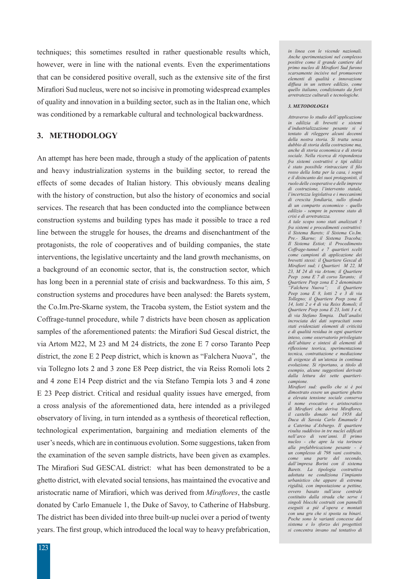techniques; this sometimes resulted in rather questionable results which, however, were in line with the national events. Even the experimentations that can be considered positive overall, such as the extensive site of the first Mirafiori Sud nucleus, were not so incisive in promoting widespread examples of quality and innovation in a building sector, such as in the Italian one, which was conditioned by a remarkable cultural and technological backwardness.

# **3. METHODOLOGY**

An attempt has here been made, through a study of the application of patents and heavy industrialization systems in the building sector, to reread the effects of some decades of Italian history. This obviously means dealing with the history of construction, but also the history of economics and social services. The research that has been conducted into the compliance between construction systems and building types has made it possible to trace a red line between the struggle for houses, the dreams and disenchantment of the protagonists, the role of cooperatives and of building companies, the state interventions, the legislative uncertainty and the land growth mechanisms, on a background of an economic sector, that is, the construction sector, which has long been in a perennial state of crisis and backwardness. To this aim, 5 construction systems and procedures have been analysed: the Barets system, the Co.Im.Pre-Skarne system, the Tracoba system, the Estiot system and the Coffrage-tunnel procedure, while 7 districts have been chosen as application samples of the aforementioned patents: the Mirafiori Sud Gescal district, the via Artom M22, M 23 and M 24 districts, the zone E 7 corso Taranto Peep district, the zone E 2 Peep district, which is known as "Falchera Nuova", the via Tollegno lots 2 and 3 zone E8 Peep district, the via Reiss Romoli lots 2 and 4 zone E14 Peep district and the via Stefano Tempia lots 3 and 4 zone E 23 Peep district. Critical and residual quality issues have emerged, from a cross analysis of the aforementioned data, here intended as a privileged observatory of living, in turn intended as a synthesis of theoretical reflection, technological experimentation, bargaining and mediation elements of the user's needs, which are in continuous evolution. Some suggestions, taken from the examination of the seven sample districts, have been given as examples. The Mirafiori Sud GESCAL district: what has been demonstrated to be a ghetto district, with elevated social tensions, has maintained the evocative and aristocratic name of Mirafiori, which was derived from *Miraflores*, the castle donated by Carlo Emanuele 1, the Duke of Savoy, to Catherine of Habsburg. The district has been divided into three built-up nuclei over a period of twenty years. The first group, which introduced the local way to heavy prefabrication,

123

*in linea con le vicende nazionali. Anche sperimentazioni nel complesso positive come il grande cantiere del primo nucleo di Mirafiori Sud furono scarsamente incisive nel promuovere elementi di qualità e innovazione diffusa in un settore edilizio, come quello italiano, condizionato da forti arretratezze culturali e tecnologiche.*

#### *3. METODOLOGIA*

*Attraverso lo studio dell'applicazione in edilizia di brevetti e sistemi d'industrializzazione pesante si è tentato di rileggere alcuni decenni della nostra storia. Si tratta senza dubbio di storia della costruzione ma, anche di storia economica e di storia sociale. Nella ricerca di rispondenza fra sistemi costruttivi e tipi edilizi è stato possibile rintracciare il filo rosso della lotta per la casa, i sogni e il disincanto dei suoi protagonisti, il ruolo delle cooperative e delle imprese di costruzione, l'intervento statale, l'incertezza legislativa e i meccanismi di crescita fondiaria, sullo sfondo di un comparto economico - quello edilizio - sempre in perenne stato di crisi e di arretratezza.* 

*A tale scopo sono stati analizzati 5 fra sistemi e procedimenti costruttivi: il Sistema Barets; il Sistema Co.Im. Pre.- Skarne; il Sistema Tracoba; Il Sistema Estiot; il Procedimento Coffrage-tunnel e 7 quartieri scelti come campioni di applicazione dei brevetti stessi: il Quartiere Gescal di Mirafiori sud; i Quartieri M 22, M 23, M 24 di via Artom; il Quartiere Peep zona E 7 di corso Taranto; il Quartiere Peep zona E 2 denominato "Falchera Nuova"; il Quartiere Peep zona E 8, lotti 2 e 3 di via Tollegno; il Quartiere Peep zona E 14, lotti 2 e 4 di via Reiss Romoli; il Quartiere Peep zona E 23, lotti 3 e 4, di via Stefano Tempia. Dall'analisi incrociata dei dati sopracitati sono stati evidenziati elementi di criticità e di qualità residua in ogni quartiere inteso, come osservatorio privilegiato dell'abitare e sintesi di elementi di riflessione teorica, sperimentazione tecnica, contrattazione e mediazione di esigenze di un'utenza in continua evoluzione. Si riportano, a titolo di esempio, alcune suggestioni derivate dalla lettura dei sette quartiericampione.* 

*Mirafiori sud: quello che si è poi dimostrato essere un quartiere ghetto a elevata tensione sociale conserva il nome evocativo e aristocratico di Mirafiori che deriva Miraflores, il castello donato nel 1958 dal Duca di Savoia Carlo Emanuele I a Caterina d'Asburgo. Il quartiere risulta suddiviso in tre nuclei edificati nell'arco di vent'anni. Il primo nucleo - che apre la via torinese alla prefabbricazione pesante - è un complesso di 798 vani costruito, come una parte del secondo, dall'impresa Borini con il sistema Barets. La tipologia costruttiva adottata ne condiziona l'impianto urbanistico che appare di estrema rigidità, con impostazione a pettine, ovvero basato sull'asse centrale costituito dalla strada che serve i singoli blocchi costruiti con pannelli eseguiti a piè d'opera e montati con una gru che si sposta su binari. Poche sono le varianti concesse dal sistema e lo sforzo dei progettisti si concentra invano sul tentativo di*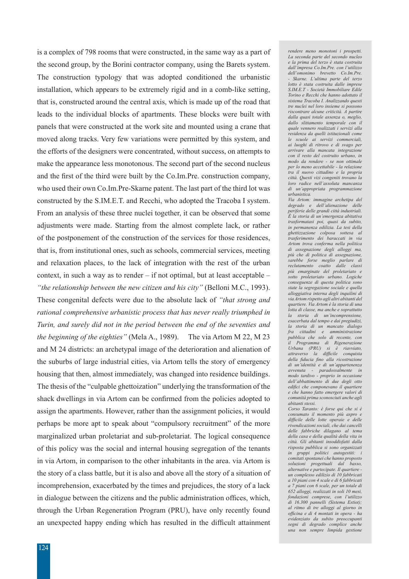is a complex of 798 rooms that were constructed, in the same way as a part of the second group, by the Borini contractor company, using the Barets system. The construction typology that was adopted conditioned the urbanistic installation, which appears to be extremely rigid and in a comb-like setting, that is, constructed around the central axis, which is made up of the road that leads to the individual blocks of apartments. These blocks were built with panels that were constructed at the work site and mounted using a crane that moved along tracks. Very few variations were permitted by this system, and the efforts of the designers were concentrated, without success, on attempts to make the appearance less monotonous. The second part of the second nucleus and the first of the third were built by the Co.Im.Pre. construction company, who used their own Co.Im.Pre-Skarne patent. The last part of the third lot was constructed by the S.IM.E.T. and Recchi, who adopted the Tracoba I system. From an analysis of these three nuclei together, it can be observed that some adjustments were made. Starting from the almost complete lack, or rather of the postponement of the construction of the services for those residences, that is, from institutional ones, such as schools, commercial services, meeting and relaxation places, to the lack of integration with the rest of the urban context, in such a way as to render – if not optimal, but at least acceptable – *"the relationship between the new citizen and his city"* (Belloni M.C., 1993). These congenital defects were due to the absolute lack of *"that strong and rational comprehensive urbanistic process that has never really triumphed in Turin, and surely did not in the period between the end of the seventies and the beginning of the eighties"* (Mela A., 1989). The via Artom M 22, M 23 and M 24 districts: an archetypal image of the deterioration and alienation of the suburbs of large industrial cities, via Artom tells the story of emergency housing that then, almost immediately, was changed into residence buildings. The thesis of the "culpable ghettoization" underlying the transformation of the shack dwellings in via Artom can be confirmed from the policies adopted to assign the apartments. However, rather than the assignment policies, it would perhaps be more apt to speak about "compulsory recruitment" of the more marginalized urban proletariat and sub-proletariat. The logical consequence of this policy was the social and internal housing segregation of the tenants in via Artom, in comparison to the other inhabitants in the area. via Artom is the story of a class battle, but it is also and above all the story of a situation of incomprehension, exacerbated by the times and prejudices, the story of a lack in dialogue between the citizens and the public administration offices, which, through the Urban Regeneration Program (PRU), have only recently found an unexpected happy ending which has resulted in the difficult attainment

*rendere meno monotoni i prospetti. La seconda parte del secondo nucleo e la prima del terzo è stata costruita dall'impresa Co.Im.Pre. con l'utilizzo derivatio Co.Im.Pre. - Skarne. L'ultima parte del terzo lotto è stata costruita dalle imprese S.IM.E.T - Società Immobiliare Edile Torino e Recchi che hanno adottato il sistema Tracoba I. Analizzando questi tre nuclei nel loro insieme si possono riscontrare alcune criticità. A partire dalla quasi totale assenza o, meglio, dallo slittamento temporale con il quale vennero realizzati i servizi alla residenza da quelli istituzionali come le scuole ai servizi commerciali, ai luoghi di ritrovo e di svago per arrivare alla mancata integrazione con il resto del costruito urbano, in modo da rendere - se non ottimale per lo meno accettabile - la relazione tra il nuovo cittadino e la propria città. Questi vizi congeniti trovano la loro radice nell'assoluta mancanza di un'appropriata programmazione urbanistica. Via Artom: immagine archetipa del degrado e dell'alienazione delle* 

*periferie delle grandi città industriali. È la storia di un'emergenza abitativa trasformatasi poi, quasi da subito, in permanenza edilizia. La tesi della ghettizzazione colposa sottesa al trasferimento dei baraccati in via Artom trova conferma nella politica di assegnazione degli alloggi ma, più che di politica di assegnazione, sarebbe forse meglio parlare di reclutamento coatto dalle classi più emarginate del proletariato e sotto proletariato urbano. Logiche conseguenze di questa politica sono state la segregazione sociale e quella alloggiativa interna degli inquilini di via Artom rispetto agli altri abitanti del quartiere. Via Artom è la storia di una lotta di classe, ma anche e soprattutto la storia di un'incomprensione, esacerbata dal tempo e dai pregiudizi, la storia di un mancato dialogo fra cittadini e amministrazione pubblica che solo di recente, con il Programma di Rigenerazione Urbana (PRU) si è riavviato, attraverso la difficile conquista della fiducia fino alla ricostruzione di un'identità e di un'appartenenza avvenuta - paradossalmente in modo tardivo - proprio in occasione dell'abbattimento di due degli otto edifici che componevano il quartiere e che hanno fatto emergere valori di comunità prima sconosciuti anche agli abitanti stessi.*

*Corso Taranto: è forse qui che si è consumato il momento più aspro e difficile delle lotte operaie e delle rivendicazioni sociali, che dai cancelli delle fabbriche dilagano al tema della casa e della qualità della vita in città. Gli abitanti insoddisfatti dalla risposta pubblica si sono organizzati in gruppi politici autogestiti: i comitati spontanei che hanno proposto soluzioni progettuali dal basso, alternative e partecipate. Il quartiere un complesso edilizio di 10 fabbricati a 10 piani con 4 scale e di 6 fabbricati a 7 piani con 6 scale, per un totale di 652 alloggi, realizzati in soli 10 mesi, fondazioni comprese, con l'utilizzo di 16.300 pannelli (Sistema Estiot); al ritmo di tre alloggi al giorno in officina e di 4 montati in opera - ha evidenziato da subito preoccupanti segni di degrado complice anche una non sempre limpida gestione*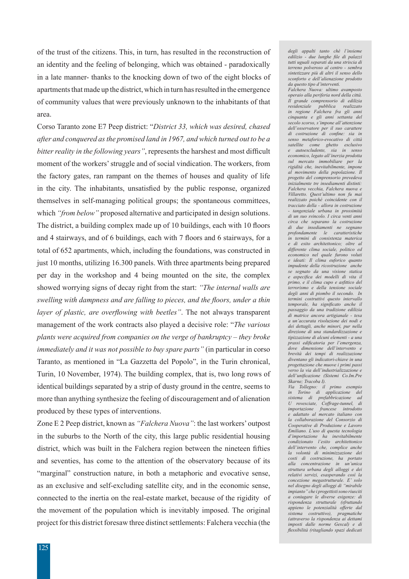of the trust of the citizens. This, in turn, has resulted in the reconstruction of an identity and the feeling of belonging, which was obtained - paradoxically in a late manner- thanks to the knocking down of two of the eight blocks of apartments that made up the district, which in turn has resulted in the emergence of community values that were previously unknown to the inhabitants of that area.

Corso Taranto zone E7 Peep district: "*District 33, which was desired, chased after and conquered as the promised land in 1967, and which turned out to be a bitter reality in the following years"*, represents the harshest and most difficult moment of the workers' struggle and of social vindication. The workers, from the factory gates, ran rampant on the themes of houses and quality of life in the city. The inhabitants, unsatisfied by the public response, organized themselves in self-managing political groups; the spontaneous committees, which *"from below"* proposed alternative and participated in design solutions. The district, a building complex made up of 10 buildings, each with 10 floors and 4 stairways, and of 6 buildings, each with 7 floors and 6 stairways, for a total of 652 apartments, which, including the foundations, was constructed in just 10 months, utilizing 16.300 panels. With three apartments being prepared per day in the workshop and 4 being mounted on the site, the complex showed worrying signs of decay right from the start: *"The internal walls are swelling with dampness and are falling to pieces, and the floors, under a thin layer of plastic, are overflowing with beetles"*. The not always transparent management of the work contracts also played a decisive role: "*The various plants were acquired from companies on the verge of bankruptcy – they broke immediately and it was not possible to buy spare parts"* (in particular in corso Taranto, as mentioned in "La Gazzetta del Popolo", in the Turin chronical, Turin, 10 November, 1974). The building complex, that is, two long rows of identical buildings separated by a strip of dusty ground in the centre, seems to more than anything synthesize the feeling of discouragement and of alienation produced by these types of interventions.

Zone E 2 Peep district, known as *"Falchera Nuova"*: the last workers' outpost in the suburbs to the North of the city, this large public residential housing district, which was built in the Falchera region between the nineteen fifties and seventies, has come to the attention of the observatory because of its "marginal" construction nature, in both a metaphoric and evocative sense, as an exclusive and self-excluding satellite city, and in the economic sense, connected to the inertia on the real-estate market, because of the rigidity of the movement of the population which is inevitably imposed. The original project for this district foresaw three distinct settlements: Falchera vecchia (the

*degli appalti tanto ché l'insieme edilizio - due lunghe file di palazzi tutti uguali separati da una striscia di terreno polveroso al centro - sembra sintetizzare più di altri il senso dello sconforto e dell'alienazione prodotto da questo tipo d'interventi.*

*Falchera Nuova: ultimo avamposto operaio alla periferia nord della città. Il grande comprensorio di edilizia residenziale pubblica realizzato in regione Falchera fra gli anni cinquanta e gli anni settanta del secolo scorso, s'impone all'attenzione dell'osservatore per il suo carattere di costruzione di confine: sia in senso metaforico-evocativo di città satellite come ghetto esclusivo e autoescludente, sia in senso economico, legato all'inerzia prodotta sul mercato immobiliare per la rigidità che, inevitabilmente, impone al movimento della popolazione. Il progetto del comprensorio prevedeva inizialmente tre insediamenti distinti: Falchera vecchia, Falchera nuova e Villaretto. Quest'ultimo non fu mai realizzato poiché coincidente con il tracciato della - allora in costruzione - tangenziale urbana in prossimità di un suo svincolo. I circa venti anni circa che separano la costruzione di due insediamenti ne segnano profondamente le caratteristiche in termini di consistenza materica e di esito architettonico; oltre al differente clima sociale, politico ed economico nel quale furono voluti e ideati: Il clima euforico quanto impudente della ricostruzione anche se segnato da una visione statica e aspecifica dei modelli di vita il primo, e il clima cupo e asfittico del terrorismo e della tensione sociale degli anni di piombo il secondo. In termini costruttivi questo intervallo temporale, ha significato anche il passaggio da una tradizione edilizia di matrice ancora artigianale - tesa a un'accurata risoluzione dei nodi e dei dettagli, anche minori, pur nella direzione di una standardizzazione e tipizzazione di alcuni elementi - a una prassi edificatoria per l'emergenza, dove dimensione dell'intervento e brevità dei tempi di realizzazione diventano gli indicatori-chiave in una progettazione che muove i primi passi verso la via dell'industrializzazione e dell'unificazione (Sistemi Co.Im.Pre Skarne; Tracoba I).* 

*Via Tollegno: il primo esempio in Torino di applicazione del sistema di prefabbricazione ad U rovesciate, Coffrage-tunnel, di importazione francese introdotto e adattato al mercato italiano con la collaborazione del Consorzio di Cooperative di Produzione e Lavoro Emiliano. L'uso di questa tecnologia d'importazione ha inevitabilmente condizionato l'esito architettonico dell'intervento che, complice anche la volontà di minimizzazione dei costi di costruzione, ha portato alla concentrazione in un'unica struttura urbana degli alloggi e dei relativi servizi, esasperando così la concezione megastrutturale. E' solo nel disegno degli alloggi di "mirabile impianto" che i progettisti sono riusciti a coniugare le diverse esigenze: di rispondenza strutturale (sfruttando appieno le potenzialità offerte dal sistema costruttivo), pragmatiche (attraverso la rispondenza ai dettami imposti dalle norme Gescal) e di flessibilità (ritagliando spazi dedicati*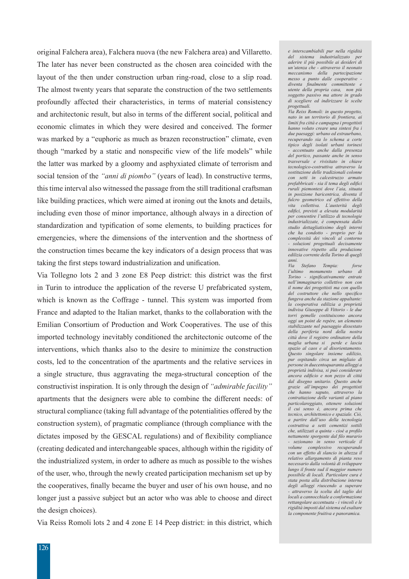original Falchera area), Falchera nuova (the new Falchera area) and Villaretto. The later has never been constructed as the chosen area coincided with the layout of the then under construction urban ring-road, close to a slip road. The almost twenty years that separate the construction of the two settlements profoundly affected their characteristics, in terms of material consistency and architectonic result, but also in terms of the different social, political and economic climates in which they were desired and conceived. The former was marked by a "euphoric as much as brazen reconstruction" climate, even though "marked by a static and nonspecific view of the life models" while the latter was marked by a gloomy and asphyxiated climate of terrorism and social tension of the *"anni di piombo"* (years of lead). In constructive terms, this time interval also witnessed the passage from the still traditional craftsman like building practices, which were aimed at ironing out the knots and details, including even those of minor importance, although always in a direction of standardization and typification of some elements, to building practices for emergencies, where the dimensions of the intervention and the shortness of the construction times became the key indicators of a design process that was taking the first steps toward industrialization and unification.

Via Tollegno lots 2 and 3 zone E8 Peep district: this district was the first in Turin to introduce the application of the reverse U prefabricated system, which is known as the Coffrage - tunnel. This system was imported from France and adapted to the Italian market, thanks to the collaboration with the Emilian Consortium of Production and Work Cooperatives. The use of this imported technology inevitably conditioned the architectonic outcome of the interventions, which thanks also to the desire to minimize the construction costs, led to the concentration of the apartments and the relative services in a single structure, thus aggravating the mega-structural conception of the constructivist inspiration. It is only through the design of *"admirable facility"*  apartments that the designers were able to combine the different needs: of structural compliance (taking full advantage of the potentialities offered by the construction system), of pragmatic compliance (through compliance with the dictates imposed by the GESCAL regulations) and of flexibility compliance (creating dedicated and interchangeable spaces, although within the rigidity of the industrialized system, in order to adhere as much as possible to the wishes of the user, who, through the newly created participation mechanism set up by the cooperatives, finally became the buyer and user of his own house, and no longer just a passive subject but an actor who was able to choose and direct the design choices).

Via Reiss Romoli lots 2 and 4 zone E 14 Peep district: in this district, which

*e interscambiabili pur nella rigidità del sistema industrializzato per aderire il più possibile ai desideri di un'utenza che - attraverso il neonato meccanismo della partecipazione messo a punto dalle cooperative diventa finalmente committente e utente della propria casa, non più soggetto passivo ma attore in grado di scegliere ed indirizzare le scelte progettuali.* 

*Via Reiss Romoli: in questo progetto, nato in un territorio di frontiera, ai limiti fra città e campagna i progettisti hanno voluto creare una sintesi fra i due paesaggi: urbano ed extraurbano, recuperando sia lo schema a corte tipico degli isolati urbani torinesi - accentuato anche dalla presenza del portico, passante anche in senso trasversale e rivisitato in chiave tecnologico-costruttiva attraverso la sostituzione delle tradizionali colonne con setti in calcestruzzo armato prefabbricati - sia il tema degli edifici rurali piemontesi dove l'aia, situata in posizione baricentrica, diventa il fulcro geometrico ed effettivo della vita collettiva. L'austerità degli edifici, previsti a elevata modularità per consentire l'utilizzo di tecnologie industrializzate, è compensata dallo studio dettagliatissimo degli interni che ha condotto - proprio per la complessità dei vincoli al contorno - soluzioni progettuali decisamente innovative rispetto alla produzione edilizia corrente della Torino di quegli anni.* 

*Via Stefano Tempia: forse l'ultimo monumento urbano di Torino - significativamente entrate nell'immaginario collettivo non con il nome dei progettisti ma con quello del costruttore che nello specifico fungeva anche da stazione appaltante: la cooperativa edilizia a proprietà indivisa Giuseppe di Vittorio - le due torri gemelle costituiscono ancora oggi un point de repère, un elemento stabilizzante nel paesaggio dissestato della periferia nord della nostra città dove il registro ordinatore della maglia urbana si perde e lascia spazio al caos e al disorientamento. Questo singolare insieme edilizio, pur ospitando circa un migliaio di persone in duecentoquaranta alloggi a proprietà indivisa, si può considerare ancora edificio e non pezzo di città dal disegno unitario. Questo anche grazie all'impegno dei progettisti che hanno saputo, attraverso la contrattazione delle varianti al piano particolareggiato, ottenere soluzioni il cui senso è, ancora prima che tecnico, architettonico e spaziale. Ciò, a partire dall'uso della tecnologia costruttiva a setti cementizi sottili che, utilizzati a quinta - cioè a profilo nettamente sporgente dal filo murario - sezionano in senso verticale il volume complessivo recuperando con un effetto di slancio in altezza il relativo allargamento di pianta reso necessario dalla volontà di sviluppare lungo il fronte sud il maggior numero possibile di locali. Particolare cura è stata posta alla distribuzione interna degli alloggi riuscendo a superare - attraverso la scelta del taglio dei locali a cannocchiale a conformazione rettangolare accentuata - i vincoli e le rigidità imposti dal sistema ed esaltare la componente fruitiva e panoramica.*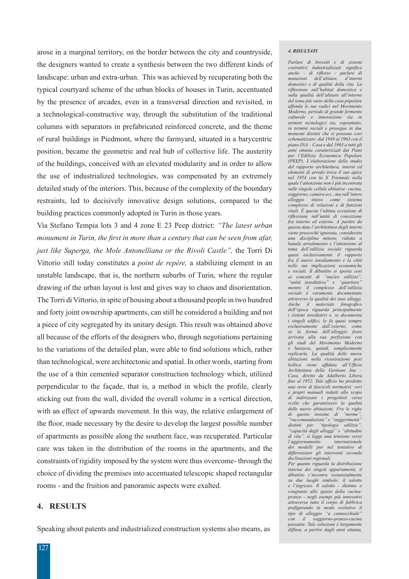arose in a marginal territory, on the border between the city and countryside, the designers wanted to create a synthesis between the two different kinds of landscape: urban and extra-urban. This was achieved by recuperating both the typical courtyard scheme of the urban blocks of houses in Turin, accentuated by the presence of arcades, even in a transversal direction and revisited, in a technological-constructive way, through the substitution of the traditional columns with separators in prefabricated reinforced concrete, and the theme of rural buildings in Piedmont, where the farmyard, situated in a barycentric position, became the geometric and real hub of collective life. The austerity of the buildings, conceived with an elevated modularity and in order to allow the use of industrialized technologies, was compensated by an extremely detailed study of the interiors. This, because of the complexity of the boundary restraints, led to decisively innovative design solutions, compared to the building practices commonly adopted in Turin in those years.

Via Stefano Tempia lots 3 and 4 zone E 23 Peep district: *"The latest urban monument in Turin, the first in more than a century that can be seen from afar, just like Superga, the Mole Antonelliana or the Rivoli Castle",* the Torri Di Vittorio still today constitutes a *point de repère,* a stabilizing element in an unstable landscape, that is, the northern suburbs of Turin, where the regular drawing of the urban layout is lost and gives way to chaos and disorientation. The Torri di Vittorio, in spite of housing about a thousand people in two hundred and forty joint ownership apartments, can still be considered a building and not a piece of city segregated by its unitary design. This result was obtained above all because of the efforts of the designers who, through negotiations pertaining to the variations of the detailed plan, were able to find solutions which, rather than technological, were architectonic and spatial. In other words, starting from the use of a thin cemented separator construction technology which, utilized perpendicular to the façade, that is, a method in which the profile, clearly sticking out from the wall, divided the overall volume in a vertical direction, with an effect of upwards movement. In this way, the relative enlargement of the floor, made necessary by the desire to develop the largest possible number of apartments as possible along the southern face, was recuperated. Particular care was taken in the distribution of the rooms in the apartments, and the constraints of rigidity imposed by the system were thus overcome- through the choice of dividing the premises into accentuated telescopic shaped rectangular rooms - and the fruition and panoramic aspects were exalted.

# **4. RESULTS**

Speaking about patents and industrialized construction systems also means, as

### *4. RISULTATI*

*Parlare di brevetti e di sistemi costruttivi industrializzati significa anche - di riflesso - parlare di*   $mutazioni$  dell'abitare, *domestici e di qualità della vita. La riflessione sull'habitat domestico e sulla qualità dell'abitare all'interno del tema più vasto della casa popolare affonda le sue radici nel Movimento Moderno, periodo di grande fermento culturale e innovazione sia in termini tecnologici sia, soprattutto, in termini sociali e prosegue in due momenti distinti che si possono così schematizzare: dal 1949 al 1963 con il piano INA – Casa e dal 1963 a tutti gli anni ottanta caratterizzati dai Piani per l'Edilizia Economica Popolare (PEEP). L'elaborazione dello studio del rapporto architettura, interni ed elementi di arredo trova il suo apice nel 1954 con la X Triennale nella quale l'attenzione non è più incentrata sulle singole cellule abitative: cucina, soggiorno, camera ecc., ma sull'intero alloggio inteso come sistema complesso di relazioni e di funzioni vitali. È questa l'ultima occasione di riflessione sull'unità di concezione fra interno ed esterno. A partire da questa data l'architettura degli interni viene pressoché ignorata, considerata una disciplina minore, ridotta a banale arredamento e l'attenzione al tema dell'edilizia sociale riguarda quasi esclusivamente il rapporto fra il nuovo insediamento e la città nelle sue implicazioni economiche e sociali. Il dibattito si sposta così ai concetti di "nucleo edilizio", "unità insediativa" e "quartiere" mentre il complesso dell'edilizia sociale è raramente documentato attraverso la qualità dei suoi alloggi. Anche il materiale fotografico dell'epoca riguarda principalmente i sistemi insediativi e, se documenta i singoli edifici, lo fa quasi sempre esclusivamente dall'esterno, come se la forma dell'alloggio fosse arrivata alla sua perfezione con gli studi del Movimento Moderno e bastasse, quindi, semplicemente replicarla. La qualità delle nuove abitazioni nella ricostruzione post bellica viene affidata all'Ufficio Architettura della Gestione Ina – Casa, diretto da Adalberto Libera fino al 1952. Tale ufficio ha prodotto una serie di fascicoli normativi: veri e propri manuali redatti allo scopo di indirizzare i progettisti verso scelte che garantissero la qualità delle nuove abitazioni. Fra le righe di questo insieme di "norme", "raccomandazioni" e "suggerimenti" distinti per "tipologie edilizie", "capacità degli alloggi" e "abitudini di vita", si legge una tensione verso l'aggiornamento dei modelli pur nel tentativo di differenziare gli interventi secondo declinazioni regionali. Per quanto riguarda la distribuzione interna dei singoli appartamenti, il* 

*dibattito s'incentra sostanzialmente su due luoghi simbolo: il salotto e l'ingresso. Il salotto - distinto o congiunto allo spazio della cucinapranzo - negli esempi più innovativi attraversa tutto il corpo di fabbrica prefigurando in modo evolutivo il tipo di alloggio "a cannocchiale" con il soggiorno-pranzo-cucina passante. Tale soluzione è largamente diffusa, a partire dagli anni ottanta,*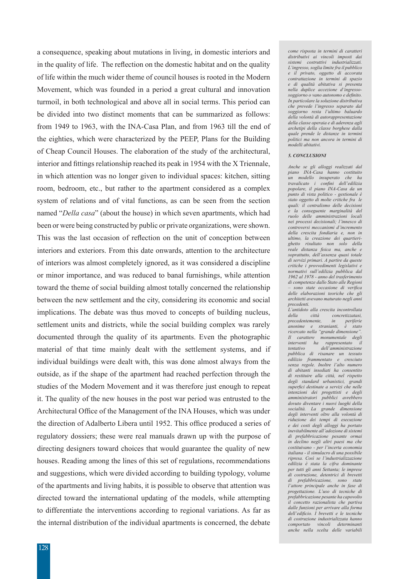a consequence, speaking about mutations in living, in domestic interiors and in the quality of life. The reflection on the domestic habitat and on the quality of life within the much wider theme of council houses is rooted in the Modern Movement, which was founded in a period a great cultural and innovation turmoil, in both technological and above all in social terms. This period can be divided into two distinct moments that can be summarized as follows: from 1949 to 1963, with the INA-Casa Plan, and from 1963 till the end of the eighties, which were characterized by the PEEP, Plans for the Building of Cheap Council Houses. The elaboration of the study of the architectural, interior and fittings relationship reached its peak in 1954 with the X Triennale, in which attention was no longer given to individual spaces: kitchen, sitting room, bedroom, etc., but rather to the apartment considered as a complex system of relations and of vital functions, as can be seen from the section named "*Della casa*" (about the house) in which seven apartments, which had been or were being constructed by public or private organizations, were shown. This was the last occasion of reflection on the unit of conception between interiors and exteriors. From this date onwards, attention to the architecture of interiors was almost completely ignored, as it was considered a discipline or minor importance, and was reduced to banal furnishings, while attention toward the theme of social building almost totally concerned the relationship between the new settlement and the city, considering its economic and social implications. The debate was thus moved to concepts of building nucleus, settlement units and districts, while the social building complex was rarely documented through the quality of its apartments. Even the photographic material of that time mainly dealt with the settlement systems, and if individual buildings were dealt with, this was done almost always from the outside, as if the shape of the apartment had reached perfection through the studies of the Modern Movement and it was therefore just enough to repeat it. The quality of the new houses in the post war period was entrusted to the Architectural Office of the Management of the INA Houses, which was under the direction of Adalberto Libera until 1952. This office produced a series of regulatory dossiers; these were real manuals drawn up with the purpose of directing designers toward choices that would guarantee the quality of new houses. Reading among the lines of this set of regulations, recommendations and suggestions, which were divided according to building typology, volume of the apartments and living habits, it is possible to observe that attention was directed toward the international updating of the models, while attempting to differentiate the interventions according to regional variations. As far as the internal distribution of the individual apartments is concerned, the debate

*come risposta in termini di caratteri distributivi ai vincoli imposti dai sistemi costruttivi industrializzati. L'ingresso, soglia limite fra il pubblico e il privato, oggetto di accorata contrattazione in termini di spazio e di qualità abitativa si presenta nella duplice accezione d'ingressosoggiorno o vano autonomo e definito. In particolare la soluzione distributiva che prevede l'ingresso separato dal soggiorno resta l'ultimo baluardo della volontà di autorappresentazione della classe operaia e di aderenza agli archetipi della classe borghese dalla quale prende le distanze in termini politici ma non ancora in termini di modelli abitativi.*

#### *5. CONCLUSIONI*

*Anche se gli alloggi realizzati dal piano INA-Casa hanno costituito un modello insuperato che ha travalicato i confini dell'edilizia popolare, il piano INA-Casa da un punto di vista politico - gestionale è stato oggetto di molte critiche fra le quali: il centralismo delle decisioni e la conseguente marginalità del ruolo delle amministrazioni locali nei processi decisionali; l'innesco di controversi meccanismi d'incremento della crescita fondiaria e, non in ultimo, la creazione dei quartierighetto risultato non solo della reale distanza fisica ma, anche e soprattutto, dell'assenza quasi totale di servizi primari. A partire da queste critiche i provvedimenti legislativi e normativi sull'edilizia pubblica dal 1962 al 1978 - anno del trasferimento di competenze dallo Stato alle Regioni – sono state occasione di verifica delle elaborazioni teoriche che gli architetti avevano maturato negli anni precedenti.* 

*L'antidoto alla crescita incontrollata della città concretizzatasi, precedentemente, in periferie anonime e stranianti, è stato ricercato nella "grande dimensione". Il carattere monumentale degli interventi ha rappresentato il tentativo dell'amministrazione pubblica di risanare un tessuto edilizio frammentato e cresciuto senza regole. Inoltre l'alto numero di abitanti insediati ha consentito di restituire alla città, nel rispetto degli standard urbanistici, grandi superfici destinate a servizi che nelle intenzioni dei progettisti e degli amministratori pubblici avrebbero dovuto diventare i nuovi luoghi della socialità. La grande dimensione degli interventi oltre alla volontà di riduzione dei tempi di esecuzione e dei costi degli alloggi ha portato inevitabilmente all'adozione di sistemi di prefabbricazione pesante ormai in declino negli altri paesi ma che costituivano - per l'incerta economia italiana - il simulacro di una possibile ripresa. Così se l'industrializzazione edilizia è stata la cifra dominante per tutti gli anni Settanta; le imprese di costruzione, detentrici di brevetti di prefabbricazione, sono state l'attore principale anche in fase di progettazione. L'uso di tecniche di prefabbricazione pesante ha capovolto il concetto razionalista che partiva dalle funzioni per arrivare alla forma dell'edificio. I brevetti e le tecniche di costruzione industrializzata hanno comportato vincoli determinanti anche nella scelta delle variabili*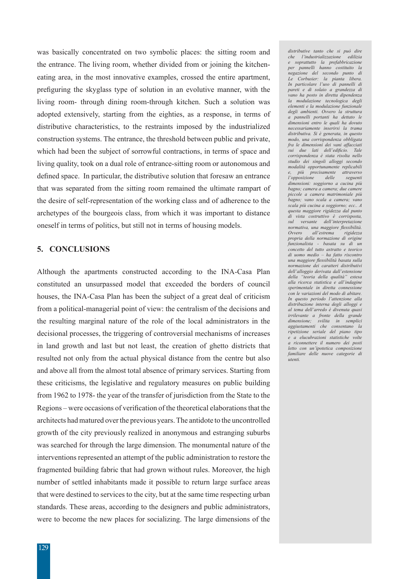was basically concentrated on two symbolic places: the sitting room and the entrance. The living room, whether divided from or joining the kitcheneating area, in the most innovative examples, crossed the entire apartment, prefiguring the skyglass type of solution in an evolutive manner, with the living room- through dining room-through kitchen. Such a solution was adopted extensively, starting from the eighties, as a response, in terms of distributive characteristics, to the restraints imposed by the industrialized construction systems. The entrance, the threshold between public and private, which had been the subject of sorrowful contractions, in terms of space and living quality, took on a dual role of entrance-sitting room or autonomous and defined space. In particular, the distributive solution that foresaw an entrance that was separated from the sitting room remained the ultimate rampart of the desire of self-representation of the working class and of adherence to the archetypes of the bourgeois class, from which it was important to distance oneself in terms of politics, but still not in terms of housing models.

# **5. CONCLUSIONS**

Although the apartments constructed according to the INA-Casa Plan constituted an unsurpassed model that exceeded the borders of council houses, the INA-Casa Plan has been the subject of a great deal of criticism from a political-managerial point of view: the centralism of the decisions and the resulting marginal nature of the role of the local administrators in the decisional processes, the triggering of controversial mechanisms of increases in land growth and last but not least, the creation of ghetto districts that resulted not only from the actual physical distance from the centre but also and above all from the almost total absence of primary services. Starting from these criticisms, the legislative and regulatory measures on public building from 1962 to 1978- the year of the transfer of jurisdiction from the State to the Regions – were occasions of verification of the theoretical elaborations that the architects had matured over the previous years. The antidote to the uncontrolled growth of the city previously realized in anonymous and estranging suburbs was searched for through the large dimension. The monumental nature of the interventions represented an attempt of the public administration to restore the fragmented building fabric that had grown without rules. Moreover, the high number of settled inhabitants made it possible to return large surface areas that were destined to services to the city, but at the same time respecting urban standards. These areas, according to the designers and public administrators, were to become the new places for socializing. The large dimensions of the

*distributive tanto che si può dire che l'industrializzazione edilizia e soprattutto la prefabbricazione per pannelli hanno costituito la*   $n$ egazione del secondo punto *Le Corbusier: la pianta libera. In particolare l'uso di pannelli di pareti e di solaio a grandezza di vano ha posto in diretta dipendenza la modulazione tecnologica degli elementi e la modulazione funzionale degli ambienti. Ovvero la struttura a pannelli portanti ha dettato le dimensioni entro le quali ha dovuto necessariamente inserirsi la trama distributiva. Si è generata, in questo modo, una corrispondenza obbligata fra le dimensioni dei vani affacciati sui due lati dell'edificio. Tale corrispondenza è stata risolta nello studio dei singoli alloggi secondo modalità opportunamente replicabili e, più precisamente attraverso l'opposizione delle seguenti dimensioni: soggiorno a cucina più bagno; camera a camera; due camere piccole a camera matrimoniale più bagno; vano scala a camera; vano scala più cucina a soggiorno; ecc.. A questa maggiore rigidezza dal punto di vista costruttivo è corrisposta, sul versante dell'interpretazione normativa, una maggiore flessibilità. Ovvero all'estrema rigidezza propria della normazione di origine funzionalista - basata su di un concetto del tutto astratto e teorico di uomo medio – ha fatto riscontro una maggiore flessibilità basata sulla normazione dei caratteri distributivi dell'alloggio derivata dall'estensione della "teoria della qualità" estesa alla ricerca statistica e all'indagine sperimentale in diretta connessione con le variazioni del modo di abitare. In questo periodo l'attenzione alla distribuzione interna degli alloggi e al tema dell'arredo è divenuta quasi irrilevante a fronte della grande dimensione; svilita in semplici aggiustamenti che consentano la ripetizione seriale del piano tipo e a elucubrazioni statistiche volte a riconnettere il numero dei posti letto con un'ipotetica composizione familiare delle nuove categorie di utenti.*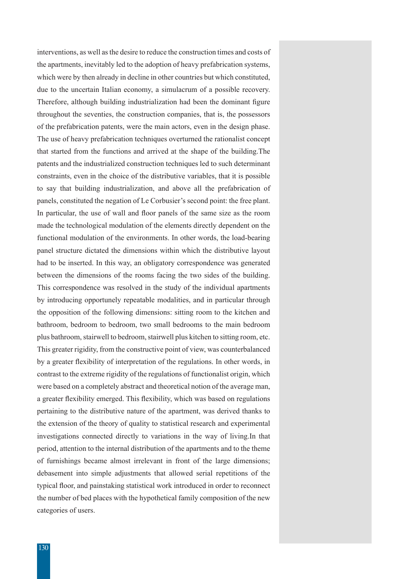interventions, as well as the desire to reduce the construction times and costs of the apartments, inevitably led to the adoption of heavy prefabrication systems, which were by then already in decline in other countries but which constituted, due to the uncertain Italian economy, a simulacrum of a possible recovery. Therefore, although building industrialization had been the dominant figure throughout the seventies, the construction companies, that is, the possessors of the prefabrication patents, were the main actors, even in the design phase. The use of heavy prefabrication techniques overturned the rationalist concept that started from the functions and arrived at the shape of the building.The patents and the industrialized construction techniques led to such determinant constraints, even in the choice of the distributive variables, that it is possible to say that building industrialization, and above all the prefabrication of panels, constituted the negation of Le Corbusier's second point: the free plant. In particular, the use of wall and floor panels of the same size as the room made the technological modulation of the elements directly dependent on the functional modulation of the environments. In other words, the load-bearing panel structure dictated the dimensions within which the distributive layout had to be inserted. In this way, an obligatory correspondence was generated between the dimensions of the rooms facing the two sides of the building. This correspondence was resolved in the study of the individual apartments by introducing opportunely repeatable modalities, and in particular through the opposition of the following dimensions: sitting room to the kitchen and bathroom, bedroom to bedroom, two small bedrooms to the main bedroom plus bathroom, stairwell to bedroom, stairwell plus kitchen to sitting room, etc. This greater rigidity, from the constructive point of view, was counterbalanced by a greater flexibility of interpretation of the regulations. In other words, in contrast to the extreme rigidity of the regulations of functionalist origin, which were based on a completely abstract and theoretical notion of the average man, a greater flexibility emerged. This flexibility, which was based on regulations pertaining to the distributive nature of the apartment, was derived thanks to the extension of the theory of quality to statistical research and experimental investigations connected directly to variations in the way of living.In that period, attention to the internal distribution of the apartments and to the theme of furnishings became almost irrelevant in front of the large dimensions; debasement into simple adjustments that allowed serial repetitions of the typical floor, and painstaking statistical work introduced in order to reconnect the number of bed places with the hypothetical family composition of the new categories of users.